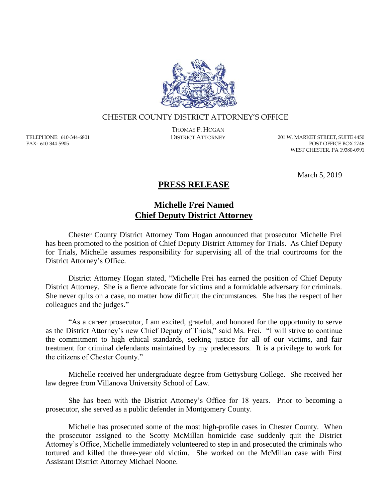

## CHESTER COUNTY DISTRICT ATTORNEY'S OFFICE

TELEPHONE: 610-344-6801 FAX: 610-344-5905

THOMAS P. HOGAN

DISTRICT ATTORNEY 201 W. MARKET STREET, SUITE 4450 POST OFFICE BOX 2746 WEST CHESTER, PA 19380-0991

March 5, 2019

## **PRESS RELEASE**

## **Michelle Frei Named Chief Deputy District Attorney**

Chester County District Attorney Tom Hogan announced that prosecutor Michelle Frei has been promoted to the position of Chief Deputy District Attorney for Trials. As Chief Deputy for Trials, Michelle assumes responsibility for supervising all of the trial courtrooms for the District Attorney's Office.

District Attorney Hogan stated, "Michelle Frei has earned the position of Chief Deputy District Attorney. She is a fierce advocate for victims and a formidable adversary for criminals. She never quits on a case, no matter how difficult the circumstances. She has the respect of her colleagues and the judges."

"As a career prosecutor, I am excited, grateful, and honored for the opportunity to serve as the District Attorney's new Chief Deputy of Trials," said Ms. Frei. "I will strive to continue the commitment to high ethical standards, seeking justice for all of our victims, and fair treatment for criminal defendants maintained by my predecessors. It is a privilege to work for the citizens of Chester County."

Michelle received her undergraduate degree from Gettysburg College. She received her law degree from Villanova University School of Law.

She has been with the District Attorney's Office for 18 years. Prior to becoming a prosecutor, she served as a public defender in Montgomery County.

Michelle has prosecuted some of the most high-profile cases in Chester County. When the prosecutor assigned to the Scotty McMillan homicide case suddenly quit the District Attorney's Office, Michelle immediately volunteered to step in and prosecuted the criminals who tortured and killed the three-year old victim. She worked on the McMillan case with First Assistant District Attorney Michael Noone.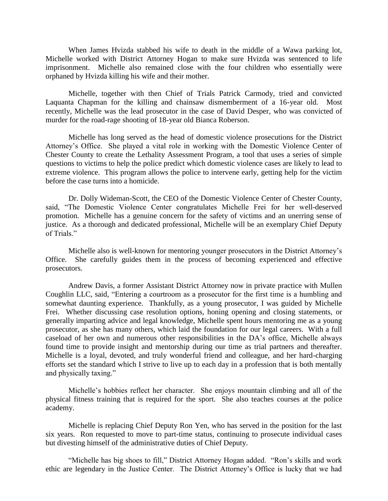When James Hvizda stabbed his wife to death in the middle of a Wawa parking lot, Michelle worked with District Attorney Hogan to make sure Hvizda was sentenced to life imprisonment. Michelle also remained close with the four children who essentially were orphaned by Hvizda killing his wife and their mother.

Michelle, together with then Chief of Trials Patrick Carmody, tried and convicted Laquanta Chapman for the killing and chainsaw dismemberment of a 16-year old. Most recently, Michelle was the lead prosecutor in the case of David Desper, who was convicted of murder for the road-rage shooting of 18-year old Bianca Roberson.

Michelle has long served as the head of domestic violence prosecutions for the District Attorney's Office. She played a vital role in working with the Domestic Violence Center of Chester County to create the Lethality Assessment Program, a tool that uses a series of simple questions to victims to help the police predict which domestic violence cases are likely to lead to extreme violence. This program allows the police to intervene early, getting help for the victim before the case turns into a homicide.

Dr. Dolly Wideman-Scott, the CEO of the Domestic Violence Center of Chester County, said, "The Domestic Violence Center congratulates Michelle Frei for her well-deserved promotion. Michelle has a genuine concern for the safety of victims and an unerring sense of justice. As a thorough and dedicated professional, Michelle will be an exemplary Chief Deputy of Trials."

Michelle also is well-known for mentoring younger prosecutors in the District Attorney's Office. She carefully guides them in the process of becoming experienced and effective prosecutors.

Andrew Davis, a former Assistant District Attorney now in private practice with Mullen Coughlin LLC, said, "Entering a courtroom as a prosecutor for the first time is a humbling and somewhat daunting experience. Thankfully, as a young prosecutor, I was guided by Michelle Frei. Whether discussing case resolution options, honing opening and closing statements, or generally imparting advice and legal knowledge, Michelle spent hours mentoring me as a young prosecutor, as she has many others, which laid the foundation for our legal careers. With a full caseload of her own and numerous other responsibilities in the DA's office, Michelle always found time to provide insight and mentorship during our time as trial partners and thereafter. Michelle is a loyal, devoted, and truly wonderful friend and colleague, and her hard-charging efforts set the standard which I strive to live up to each day in a profession that is both mentally and physically taxing."

Michelle's hobbies reflect her character. She enjoys mountain climbing and all of the physical fitness training that is required for the sport. She also teaches courses at the police academy.

Michelle is replacing Chief Deputy Ron Yen, who has served in the position for the last six years. Ron requested to move to part-time status, continuing to prosecute individual cases but divesting himself of the administrative duties of Chief Deputy.

"Michelle has big shoes to fill," District Attorney Hogan added. "Ron's skills and work ethic are legendary in the Justice Center. The District Attorney's Office is lucky that we had